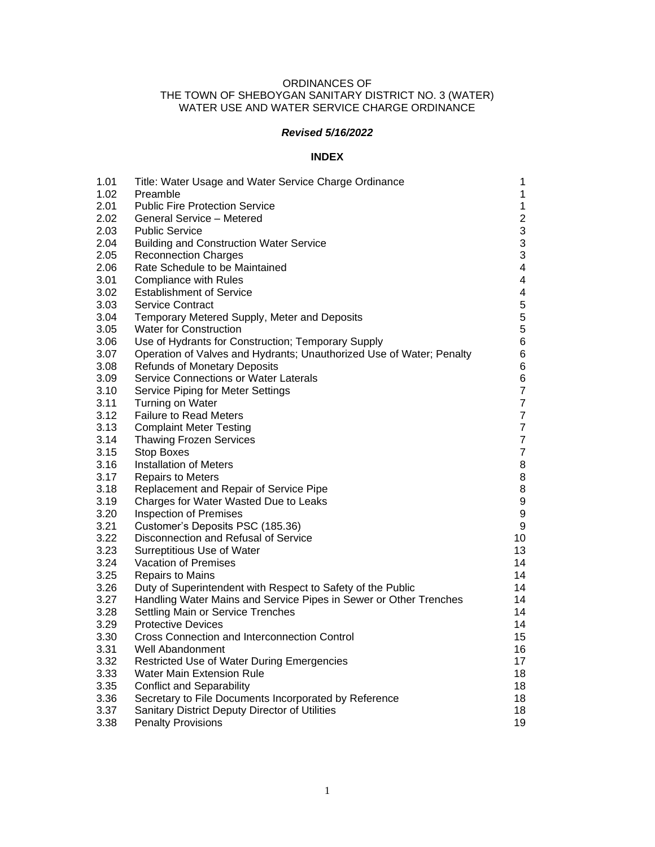# ORDINANCES OF THE TOWN OF SHEBOYGAN SANITARY DISTRICT NO. 3 (WATER) WATER USE AND WATER SERVICE CHARGE ORDINANCE

# *Revised 5/16/2022*

# **INDEX**

| 1.01 | Title: Water Usage and Water Service Charge Ordinance                | $\mathbf 1$             |
|------|----------------------------------------------------------------------|-------------------------|
| 1.02 | Preamble                                                             | $\mathbf{1}$            |
| 2.01 | <b>Public Fire Protection Service</b>                                | $\mathbf{1}$            |
| 2.02 | General Service - Metered                                            | $\overline{c}$          |
| 2.03 | <b>Public Service</b>                                                | $\mathfrak{S}$          |
| 2.04 | <b>Building and Construction Water Service</b>                       | 3                       |
| 2.05 | <b>Reconnection Charges</b>                                          | 3                       |
| 2.06 | Rate Schedule to be Maintained                                       | $\overline{\mathbf{4}}$ |
| 3.01 | <b>Compliance with Rules</b>                                         | $\overline{\mathbf{4}}$ |
| 3.02 | <b>Establishment of Service</b>                                      | 4                       |
| 3.03 | <b>Service Contract</b>                                              | 5                       |
| 3.04 | Temporary Metered Supply, Meter and Deposits                         | 5                       |
| 3.05 | Water for Construction                                               | 5                       |
| 3.06 | Use of Hydrants for Construction; Temporary Supply                   | 6                       |
| 3.07 | Operation of Valves and Hydrants; Unauthorized Use of Water; Penalty | 6                       |
| 3.08 | <b>Refunds of Monetary Deposits</b>                                  | 6                       |
| 3.09 | Service Connections or Water Laterals                                | 6                       |
| 3.10 | Service Piping for Meter Settings                                    | $\overline{7}$          |
| 3.11 | Turning on Water                                                     | $\overline{\mathbf{7}}$ |
| 3.12 | <b>Failure to Read Meters</b>                                        | $\overline{7}$          |
| 3.13 | <b>Complaint Meter Testing</b>                                       | $\overline{7}$          |
| 3.14 | <b>Thawing Frozen Services</b>                                       | $\boldsymbol{7}$        |
| 3.15 | <b>Stop Boxes</b>                                                    | $\overline{7}$          |
| 3.16 | <b>Installation of Meters</b>                                        | 8                       |
| 3.17 | <b>Repairs to Meters</b>                                             | 8                       |
| 3.18 | Replacement and Repair of Service Pipe                               | 8                       |
| 3.19 | Charges for Water Wasted Due to Leaks                                | $\boldsymbol{9}$        |
| 3.20 | <b>Inspection of Premises</b>                                        | $\boldsymbol{9}$        |
| 3.21 | Customer's Deposits PSC (185.36)                                     | $\boldsymbol{9}$        |
| 3.22 | Disconnection and Refusal of Service                                 | 10                      |
| 3.23 | Surreptitious Use of Water                                           | 13                      |
| 3.24 | Vacation of Premises                                                 | 14                      |
| 3.25 | <b>Repairs to Mains</b>                                              | 14                      |
| 3.26 | Duty of Superintendent with Respect to Safety of the Public          | 14                      |
| 3.27 | Handling Water Mains and Service Pipes in Sewer or Other Trenches    | 14                      |
| 3.28 | Settling Main or Service Trenches                                    | 14                      |
| 3.29 | <b>Protective Devices</b>                                            | 14                      |
| 3.30 | Cross Connection and Interconnection Control                         | 15                      |
| 3.31 | Well Abandonment                                                     | 16                      |
| 3.32 | Restricted Use of Water During Emergencies                           | 17                      |
| 3.33 | <b>Water Main Extension Rule</b>                                     | 18                      |
| 3.35 | <b>Conflict and Separability</b>                                     | 18                      |
| 3.36 | Secretary to File Documents Incorporated by Reference                | 18                      |
| 3.37 | Sanitary District Deputy Director of Utilities                       | 18                      |
| 3.38 | <b>Penalty Provisions</b>                                            | 19                      |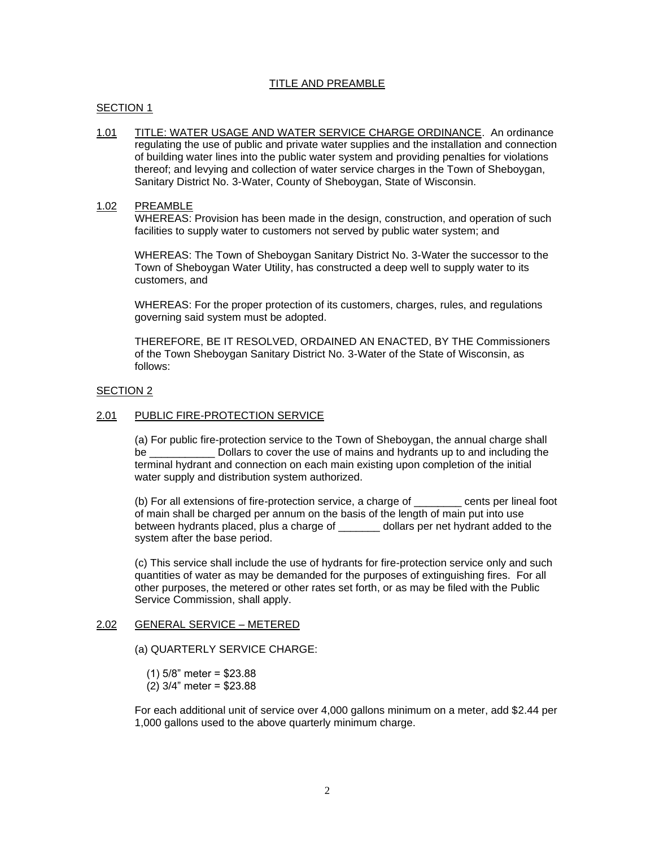# TITLE AND PREAMBLE

#### SECTION 1

1.01 TITLE: WATER USAGE AND WATER SERVICE CHARGE ORDINANCE. An ordinance regulating the use of public and private water supplies and the installation and connection of building water lines into the public water system and providing penalties for violations thereof; and levying and collection of water service charges in the Town of Sheboygan, Sanitary District No. 3-Water, County of Sheboygan, State of Wisconsin.

#### 1.02 PREAMBLE

WHEREAS: Provision has been made in the design, construction, and operation of such facilities to supply water to customers not served by public water system; and

WHEREAS: The Town of Sheboygan Sanitary District No. 3-Water the successor to the Town of Sheboygan Water Utility, has constructed a deep well to supply water to its customers, and

WHEREAS: For the proper protection of its customers, charges, rules, and regulations governing said system must be adopted.

THEREFORE, BE IT RESOLVED, ORDAINED AN ENACTED, BY THE Commissioners of the Town Sheboygan Sanitary District No. 3-Water of the State of Wisconsin, as follows:

#### SECTION 2

#### 2.01 PUBLIC FIRE-PROTECTION SERVICE

(a) For public fire-protection service to the Town of Sheboygan, the annual charge shall be \_\_\_\_\_\_\_\_\_\_\_\_\_\_\_\_\_ Dollars to cover the use of mains and hydrants up to and including the terminal hydrant and connection on each main existing upon completion of the initial water supply and distribution system authorized.

(b) For all extensions of fire-protection service, a charge of \_\_\_\_\_\_\_\_ cents per lineal foot of main shall be charged per annum on the basis of the length of main put into use between hydrants placed, plus a charge of \_\_\_\_\_\_\_ dollars per net hydrant added to the system after the base period.

(c) This service shall include the use of hydrants for fire-protection service only and such quantities of water as may be demanded for the purposes of extinguishing fires. For all other purposes, the metered or other rates set forth, or as may be filed with the Public Service Commission, shall apply.

#### 2.02 GENERAL SERVICE – METERED

(a) QUARTERLY SERVICE CHARGE:

- (1) 5/8" meter = \$23.88
- (2) 3/4" meter = \$23.88

For each additional unit of service over 4,000 gallons minimum on a meter, add \$2.44 per 1,000 gallons used to the above quarterly minimum charge.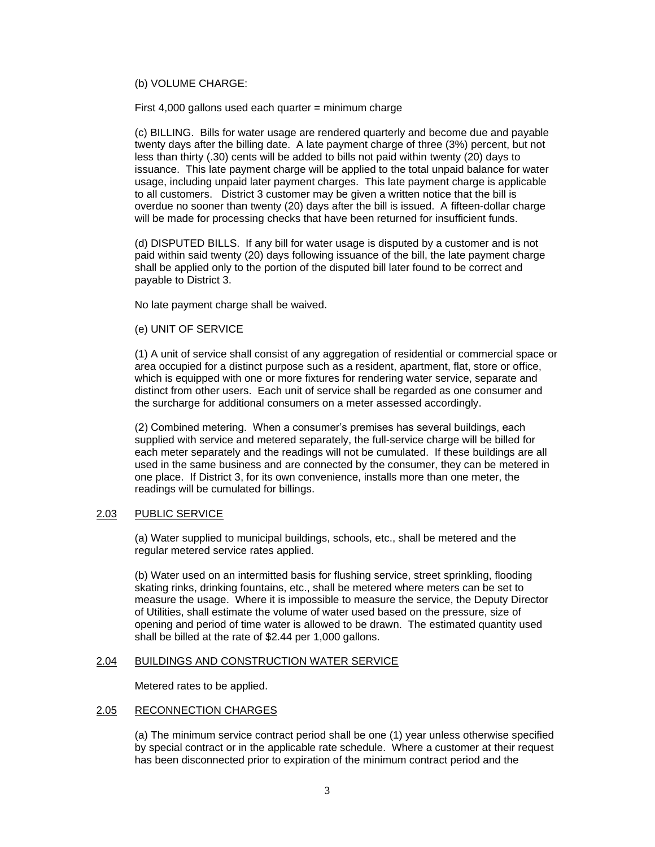# (b) VOLUME CHARGE:

First  $4,000$  gallons used each quarter = minimum charge

(c) BILLING. Bills for water usage are rendered quarterly and become due and payable twenty days after the billing date. A late payment charge of three (3%) percent, but not less than thirty (.30) cents will be added to bills not paid within twenty (20) days to issuance. This late payment charge will be applied to the total unpaid balance for water usage, including unpaid later payment charges. This late payment charge is applicable to all customers. District 3 customer may be given a written notice that the bill is overdue no sooner than twenty (20) days after the bill is issued. A fifteen-dollar charge will be made for processing checks that have been returned for insufficient funds.

(d) DISPUTED BILLS. If any bill for water usage is disputed by a customer and is not paid within said twenty (20) days following issuance of the bill, the late payment charge shall be applied only to the portion of the disputed bill later found to be correct and payable to District 3.

No late payment charge shall be waived.

#### (e) UNIT OF SERVICE

(1) A unit of service shall consist of any aggregation of residential or commercial space or area occupied for a distinct purpose such as a resident, apartment, flat, store or office, which is equipped with one or more fixtures for rendering water service, separate and distinct from other users. Each unit of service shall be regarded as one consumer and the surcharge for additional consumers on a meter assessed accordingly.

(2) Combined metering. When a consumer's premises has several buildings, each supplied with service and metered separately, the full-service charge will be billed for each meter separately and the readings will not be cumulated. If these buildings are all used in the same business and are connected by the consumer, they can be metered in one place. If District 3, for its own convenience, installs more than one meter, the readings will be cumulated for billings.

# 2.03 PUBLIC SERVICE

(a) Water supplied to municipal buildings, schools, etc., shall be metered and the regular metered service rates applied.

(b) Water used on an intermitted basis for flushing service, street sprinkling, flooding skating rinks, drinking fountains, etc., shall be metered where meters can be set to measure the usage. Where it is impossible to measure the service, the Deputy Director of Utilities, shall estimate the volume of water used based on the pressure, size of opening and period of time water is allowed to be drawn. The estimated quantity used shall be billed at the rate of \$2.44 per 1,000 gallons.

# 2.04 BUILDINGS AND CONSTRUCTION WATER SERVICE

Metered rates to be applied.

# 2.05 RECONNECTION CHARGES

(a) The minimum service contract period shall be one (1) year unless otherwise specified by special contract or in the applicable rate schedule. Where a customer at their request has been disconnected prior to expiration of the minimum contract period and the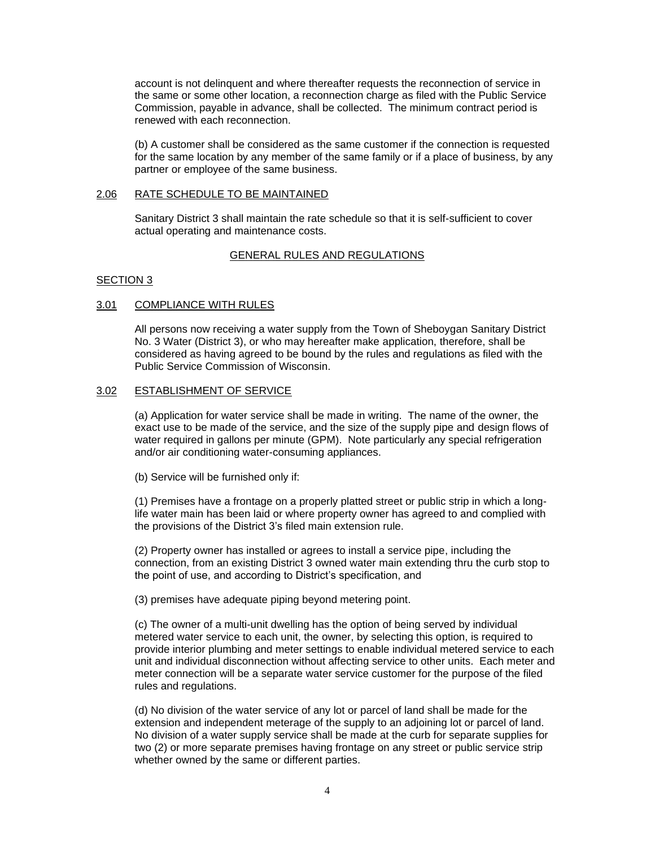account is not delinquent and where thereafter requests the reconnection of service in the same or some other location, a reconnection charge as filed with the Public Service Commission, payable in advance, shall be collected. The minimum contract period is renewed with each reconnection.

(b) A customer shall be considered as the same customer if the connection is requested for the same location by any member of the same family or if a place of business, by any partner or employee of the same business.

## 2.06 RATE SCHEDULE TO BE MAINTAINED

Sanitary District 3 shall maintain the rate schedule so that it is self-sufficient to cover actual operating and maintenance costs.

# GENERAL RULES AND REGULATIONS

#### SECTION 3

#### 3.01 COMPLIANCE WITH RULES

All persons now receiving a water supply from the Town of Sheboygan Sanitary District No. 3 Water (District 3), or who may hereafter make application, therefore, shall be considered as having agreed to be bound by the rules and regulations as filed with the Public Service Commission of Wisconsin.

#### 3.02 ESTABLISHMENT OF SERVICE

(a) Application for water service shall be made in writing. The name of the owner, the exact use to be made of the service, and the size of the supply pipe and design flows of water required in gallons per minute (GPM). Note particularly any special refrigeration and/or air conditioning water-consuming appliances.

(b) Service will be furnished only if:

(1) Premises have a frontage on a properly platted street or public strip in which a longlife water main has been laid or where property owner has agreed to and complied with the provisions of the District 3's filed main extension rule.

(2) Property owner has installed or agrees to install a service pipe, including the connection, from an existing District 3 owned water main extending thru the curb stop to the point of use, and according to District's specification, and

(3) premises have adequate piping beyond metering point.

(c) The owner of a multi-unit dwelling has the option of being served by individual metered water service to each unit, the owner, by selecting this option, is required to provide interior plumbing and meter settings to enable individual metered service to each unit and individual disconnection without affecting service to other units. Each meter and meter connection will be a separate water service customer for the purpose of the filed rules and regulations.

(d) No division of the water service of any lot or parcel of land shall be made for the extension and independent meterage of the supply to an adjoining lot or parcel of land. No division of a water supply service shall be made at the curb for separate supplies for two (2) or more separate premises having frontage on any street or public service strip whether owned by the same or different parties.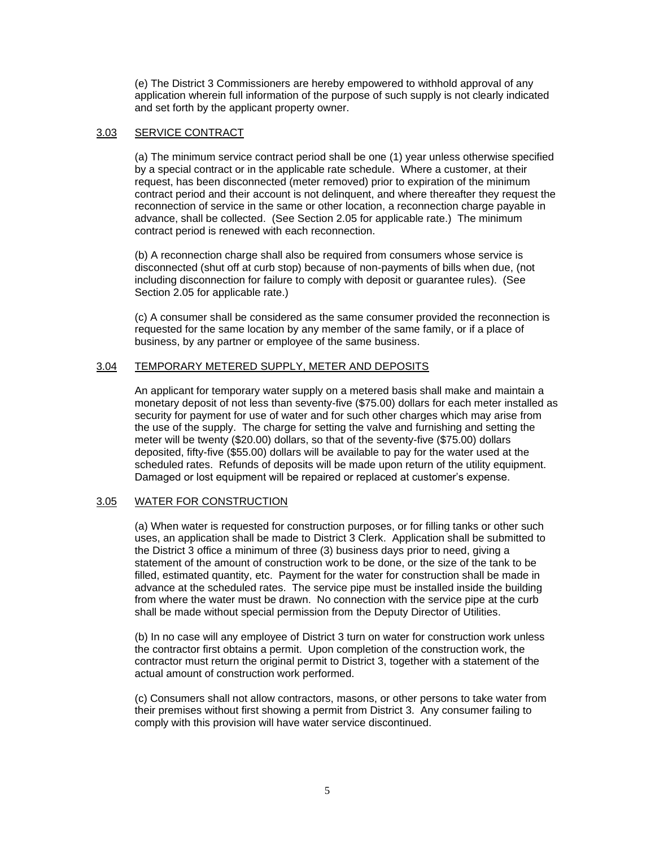(e) The District 3 Commissioners are hereby empowered to withhold approval of any application wherein full information of the purpose of such supply is not clearly indicated and set forth by the applicant property owner.

# 3.03 SERVICE CONTRACT

(a) The minimum service contract period shall be one (1) year unless otherwise specified by a special contract or in the applicable rate schedule. Where a customer, at their request, has been disconnected (meter removed) prior to expiration of the minimum contract period and their account is not delinquent, and where thereafter they request the reconnection of service in the same or other location, a reconnection charge payable in advance, shall be collected. (See Section 2.05 for applicable rate.) The minimum contract period is renewed with each reconnection.

(b) A reconnection charge shall also be required from consumers whose service is disconnected (shut off at curb stop) because of non-payments of bills when due, (not including disconnection for failure to comply with deposit or guarantee rules). (See Section 2.05 for applicable rate.)

(c) A consumer shall be considered as the same consumer provided the reconnection is requested for the same location by any member of the same family, or if a place of business, by any partner or employee of the same business.

# 3.04 TEMPORARY METERED SUPPLY, METER AND DEPOSITS

An applicant for temporary water supply on a metered basis shall make and maintain a monetary deposit of not less than seventy-five (\$75.00) dollars for each meter installed as security for payment for use of water and for such other charges which may arise from the use of the supply. The charge for setting the valve and furnishing and setting the meter will be twenty (\$20.00) dollars, so that of the seventy-five (\$75.00) dollars deposited, fifty-five (\$55.00) dollars will be available to pay for the water used at the scheduled rates. Refunds of deposits will be made upon return of the utility equipment. Damaged or lost equipment will be repaired or replaced at customer's expense.

# 3.05 WATER FOR CONSTRUCTION

(a) When water is requested for construction purposes, or for filling tanks or other such uses, an application shall be made to District 3 Clerk. Application shall be submitted to the District 3 office a minimum of three (3) business days prior to need, giving a statement of the amount of construction work to be done, or the size of the tank to be filled, estimated quantity, etc. Payment for the water for construction shall be made in advance at the scheduled rates. The service pipe must be installed inside the building from where the water must be drawn. No connection with the service pipe at the curb shall be made without special permission from the Deputy Director of Utilities.

(b) In no case will any employee of District 3 turn on water for construction work unless the contractor first obtains a permit. Upon completion of the construction work, the contractor must return the original permit to District 3, together with a statement of the actual amount of construction work performed.

(c) Consumers shall not allow contractors, masons, or other persons to take water from their premises without first showing a permit from District 3. Any consumer failing to comply with this provision will have water service discontinued.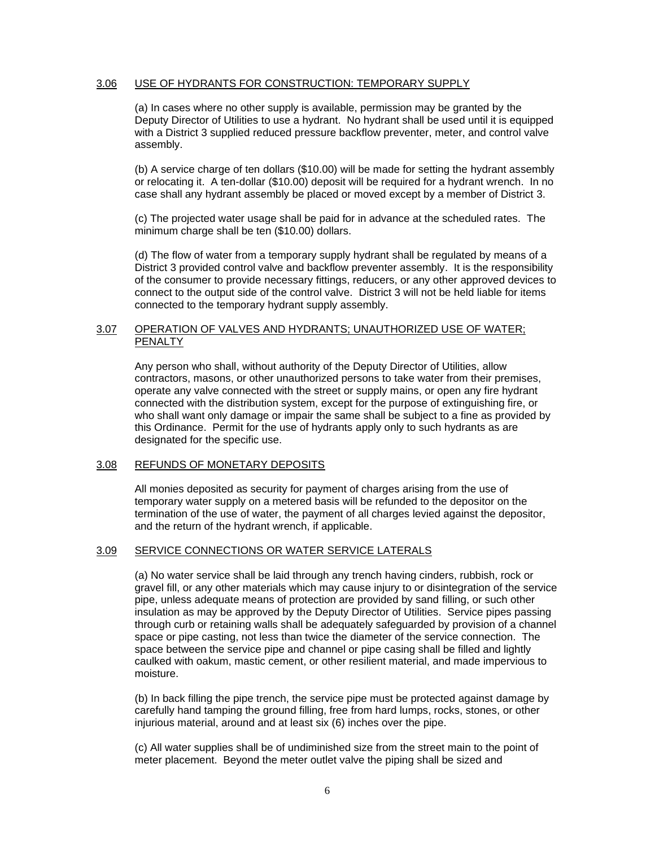# 3.06 USE OF HYDRANTS FOR CONSTRUCTION: TEMPORARY SUPPLY

(a) In cases where no other supply is available, permission may be granted by the Deputy Director of Utilities to use a hydrant. No hydrant shall be used until it is equipped with a District 3 supplied reduced pressure backflow preventer, meter, and control valve assembly.

(b) A service charge of ten dollars (\$10.00) will be made for setting the hydrant assembly or relocating it. A ten-dollar (\$10.00) deposit will be required for a hydrant wrench. In no case shall any hydrant assembly be placed or moved except by a member of District 3.

(c) The projected water usage shall be paid for in advance at the scheduled rates. The minimum charge shall be ten (\$10.00) dollars.

(d) The flow of water from a temporary supply hydrant shall be regulated by means of a District 3 provided control valve and backflow preventer assembly. It is the responsibility of the consumer to provide necessary fittings, reducers, or any other approved devices to connect to the output side of the control valve. District 3 will not be held liable for items connected to the temporary hydrant supply assembly.

# 3.07 OPERATION OF VALVES AND HYDRANTS; UNAUTHORIZED USE OF WATER; PENALTY

Any person who shall, without authority of the Deputy Director of Utilities, allow contractors, masons, or other unauthorized persons to take water from their premises, operate any valve connected with the street or supply mains, or open any fire hydrant connected with the distribution system, except for the purpose of extinguishing fire, or who shall want only damage or impair the same shall be subject to a fine as provided by this Ordinance. Permit for the use of hydrants apply only to such hydrants as are designated for the specific use.

# 3.08 REFUNDS OF MONETARY DEPOSITS

All monies deposited as security for payment of charges arising from the use of temporary water supply on a metered basis will be refunded to the depositor on the termination of the use of water, the payment of all charges levied against the depositor, and the return of the hydrant wrench, if applicable.

# 3.09 SERVICE CONNECTIONS OR WATER SERVICE LATERALS

(a) No water service shall be laid through any trench having cinders, rubbish, rock or gravel fill, or any other materials which may cause injury to or disintegration of the service pipe, unless adequate means of protection are provided by sand filling, or such other insulation as may be approved by the Deputy Director of Utilities. Service pipes passing through curb or retaining walls shall be adequately safeguarded by provision of a channel space or pipe casting, not less than twice the diameter of the service connection. The space between the service pipe and channel or pipe casing shall be filled and lightly caulked with oakum, mastic cement, or other resilient material, and made impervious to moisture.

(b) In back filling the pipe trench, the service pipe must be protected against damage by carefully hand tamping the ground filling, free from hard lumps, rocks, stones, or other injurious material, around and at least six (6) inches over the pipe.

(c) All water supplies shall be of undiminished size from the street main to the point of meter placement. Beyond the meter outlet valve the piping shall be sized and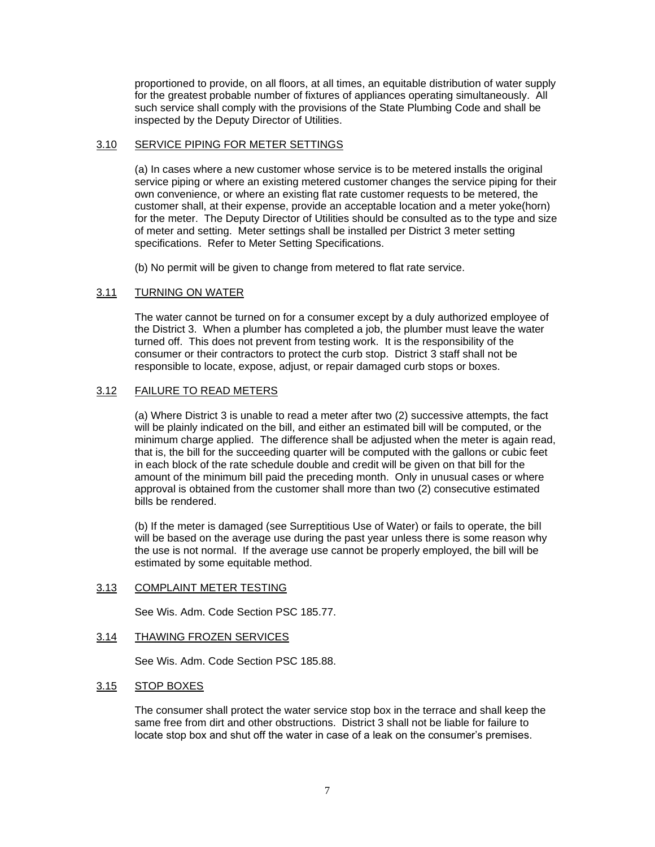proportioned to provide, on all floors, at all times, an equitable distribution of water supply for the greatest probable number of fixtures of appliances operating simultaneously. All such service shall comply with the provisions of the State Plumbing Code and shall be inspected by the Deputy Director of Utilities.

# 3.10 SERVICE PIPING FOR METER SETTINGS

(a) In cases where a new customer whose service is to be metered installs the original service piping or where an existing metered customer changes the service piping for their own convenience, or where an existing flat rate customer requests to be metered, the customer shall, at their expense, provide an acceptable location and a meter yoke(horn) for the meter. The Deputy Director of Utilities should be consulted as to the type and size of meter and setting. Meter settings shall be installed per District 3 meter setting specifications. Refer to Meter Setting Specifications.

(b) No permit will be given to change from metered to flat rate service.

# 3.11 TURNING ON WATER

The water cannot be turned on for a consumer except by a duly authorized employee of the District 3. When a plumber has completed a job, the plumber must leave the water turned off. This does not prevent from testing work. It is the responsibility of the consumer or their contractors to protect the curb stop. District 3 staff shall not be responsible to locate, expose, adjust, or repair damaged curb stops or boxes.

# 3.12 FAILURE TO READ METERS

(a) Where District 3 is unable to read a meter after two (2) successive attempts, the fact will be plainly indicated on the bill, and either an estimated bill will be computed, or the minimum charge applied. The difference shall be adjusted when the meter is again read, that is, the bill for the succeeding quarter will be computed with the gallons or cubic feet in each block of the rate schedule double and credit will be given on that bill for the amount of the minimum bill paid the preceding month. Only in unusual cases or where approval is obtained from the customer shall more than two (2) consecutive estimated bills be rendered.

(b) If the meter is damaged (see Surreptitious Use of Water) or fails to operate, the bill will be based on the average use during the past year unless there is some reason why the use is not normal. If the average use cannot be properly employed, the bill will be estimated by some equitable method.

# 3.13 COMPLAINT METER TESTING

See Wis. Adm. Code Section PSC 185.77.

# 3.14 THAWING FROZEN SERVICES

See Wis. Adm. Code Section PSC 185.88.

# 3.15 STOP BOXES

The consumer shall protect the water service stop box in the terrace and shall keep the same free from dirt and other obstructions. District 3 shall not be liable for failure to locate stop box and shut off the water in case of a leak on the consumer's premises.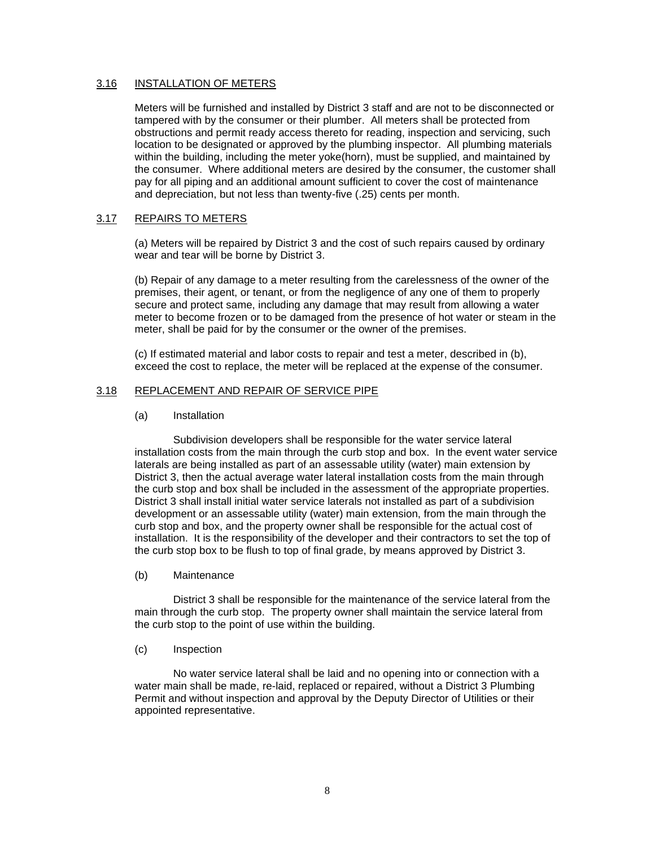# 3.16 INSTALLATION OF METERS

Meters will be furnished and installed by District 3 staff and are not to be disconnected or tampered with by the consumer or their plumber. All meters shall be protected from obstructions and permit ready access thereto for reading, inspection and servicing, such location to be designated or approved by the plumbing inspector. All plumbing materials within the building, including the meter yoke(horn), must be supplied, and maintained by the consumer. Where additional meters are desired by the consumer, the customer shall pay for all piping and an additional amount sufficient to cover the cost of maintenance and depreciation, but not less than twenty-five (.25) cents per month.

# 3.17 REPAIRS TO METERS

(a) Meters will be repaired by District 3 and the cost of such repairs caused by ordinary wear and tear will be borne by District 3.

(b) Repair of any damage to a meter resulting from the carelessness of the owner of the premises, their agent, or tenant, or from the negligence of any one of them to properly secure and protect same, including any damage that may result from allowing a water meter to become frozen or to be damaged from the presence of hot water or steam in the meter, shall be paid for by the consumer or the owner of the premises.

(c) If estimated material and labor costs to repair and test a meter, described in (b), exceed the cost to replace, the meter will be replaced at the expense of the consumer.

# 3.18 REPLACEMENT AND REPAIR OF SERVICE PIPE

#### (a) Installation

Subdivision developers shall be responsible for the water service lateral installation costs from the main through the curb stop and box. In the event water service laterals are being installed as part of an assessable utility (water) main extension by District 3, then the actual average water lateral installation costs from the main through the curb stop and box shall be included in the assessment of the appropriate properties. District 3 shall install initial water service laterals not installed as part of a subdivision development or an assessable utility (water) main extension, from the main through the curb stop and box, and the property owner shall be responsible for the actual cost of installation. It is the responsibility of the developer and their contractors to set the top of the curb stop box to be flush to top of final grade, by means approved by District 3.

#### (b) Maintenance

District 3 shall be responsible for the maintenance of the service lateral from the main through the curb stop. The property owner shall maintain the service lateral from the curb stop to the point of use within the building.

#### (c) Inspection

No water service lateral shall be laid and no opening into or connection with a water main shall be made, re-laid, replaced or repaired, without a District 3 Plumbing Permit and without inspection and approval by the Deputy Director of Utilities or their appointed representative.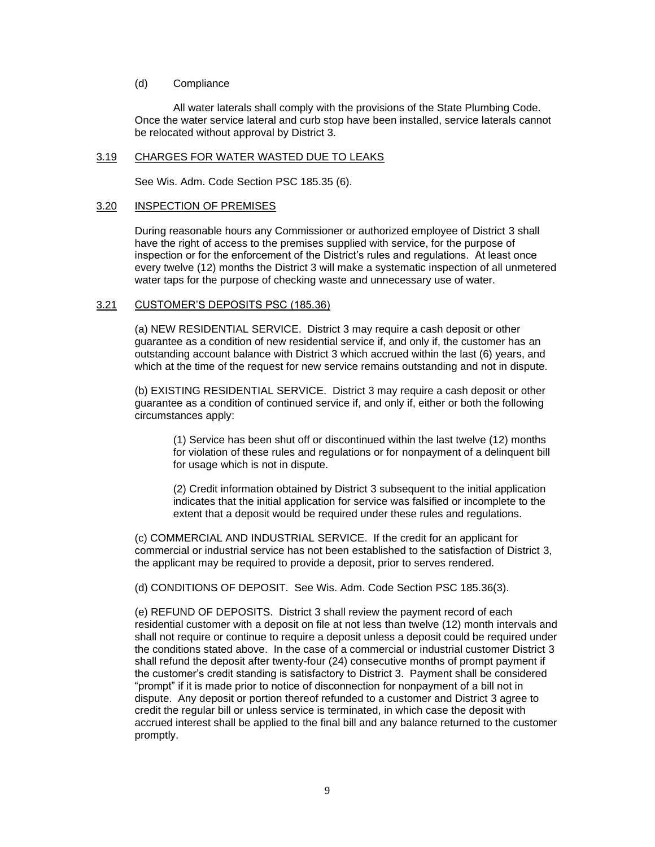#### (d) Compliance

All water laterals shall comply with the provisions of the State Plumbing Code. Once the water service lateral and curb stop have been installed, service laterals cannot be relocated without approval by District 3.

#### 3.19 CHARGES FOR WATER WASTED DUE TO LEAKS

See Wis. Adm. Code Section PSC 185.35 (6).

#### 3.20 INSPECTION OF PREMISES

During reasonable hours any Commissioner or authorized employee of District 3 shall have the right of access to the premises supplied with service, for the purpose of inspection or for the enforcement of the District's rules and regulations. At least once every twelve (12) months the District 3 will make a systematic inspection of all unmetered water taps for the purpose of checking waste and unnecessary use of water.

#### 3.21 CUSTOMER'S DEPOSITS PSC (185.36)

(a) NEW RESIDENTIAL SERVICE. District 3 may require a cash deposit or other guarantee as a condition of new residential service if, and only if, the customer has an outstanding account balance with District 3 which accrued within the last (6) years, and which at the time of the request for new service remains outstanding and not in dispute.

(b) EXISTING RESIDENTIAL SERVICE. District 3 may require a cash deposit or other guarantee as a condition of continued service if, and only if, either or both the following circumstances apply:

(1) Service has been shut off or discontinued within the last twelve (12) months for violation of these rules and regulations or for nonpayment of a delinquent bill for usage which is not in dispute.

(2) Credit information obtained by District 3 subsequent to the initial application indicates that the initial application for service was falsified or incomplete to the extent that a deposit would be required under these rules and regulations.

(c) COMMERCIAL AND INDUSTRIAL SERVICE. If the credit for an applicant for commercial or industrial service has not been established to the satisfaction of District 3, the applicant may be required to provide a deposit, prior to serves rendered.

(d) CONDITIONS OF DEPOSIT. See Wis. Adm. Code Section PSC 185.36(3).

(e) REFUND OF DEPOSITS. District 3 shall review the payment record of each residential customer with a deposit on file at not less than twelve (12) month intervals and shall not require or continue to require a deposit unless a deposit could be required under the conditions stated above. In the case of a commercial or industrial customer District 3 shall refund the deposit after twenty-four (24) consecutive months of prompt payment if the customer's credit standing is satisfactory to District 3. Payment shall be considered "prompt" if it is made prior to notice of disconnection for nonpayment of a bill not in dispute. Any deposit or portion thereof refunded to a customer and District 3 agree to credit the regular bill or unless service is terminated, in which case the deposit with accrued interest shall be applied to the final bill and any balance returned to the customer promptly.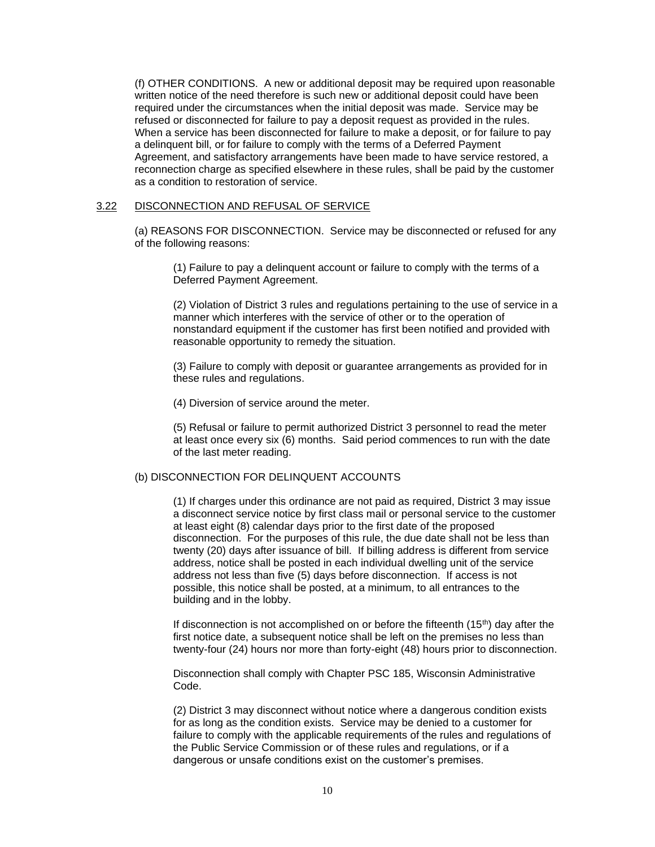(f) OTHER CONDITIONS. A new or additional deposit may be required upon reasonable written notice of the need therefore is such new or additional deposit could have been required under the circumstances when the initial deposit was made. Service may be refused or disconnected for failure to pay a deposit request as provided in the rules. When a service has been disconnected for failure to make a deposit, or for failure to pay a delinquent bill, or for failure to comply with the terms of a Deferred Payment Agreement, and satisfactory arrangements have been made to have service restored, a reconnection charge as specified elsewhere in these rules, shall be paid by the customer as a condition to restoration of service.

#### 3.22 DISCONNECTION AND REFUSAL OF SERVICE

(a) REASONS FOR DISCONNECTION. Service may be disconnected or refused for any of the following reasons:

(1) Failure to pay a delinquent account or failure to comply with the terms of a Deferred Payment Agreement.

(2) Violation of District 3 rules and regulations pertaining to the use of service in a manner which interferes with the service of other or to the operation of nonstandard equipment if the customer has first been notified and provided with reasonable opportunity to remedy the situation.

(3) Failure to comply with deposit or guarantee arrangements as provided for in these rules and regulations.

(4) Diversion of service around the meter.

(5) Refusal or failure to permit authorized District 3 personnel to read the meter at least once every six (6) months. Said period commences to run with the date of the last meter reading.

# (b) DISCONNECTION FOR DELINQUENT ACCOUNTS

(1) If charges under this ordinance are not paid as required, District 3 may issue a disconnect service notice by first class mail or personal service to the customer at least eight (8) calendar days prior to the first date of the proposed disconnection. For the purposes of this rule, the due date shall not be less than twenty (20) days after issuance of bill. If billing address is different from service address, notice shall be posted in each individual dwelling unit of the service address not less than five (5) days before disconnection. If access is not possible, this notice shall be posted, at a minimum, to all entrances to the building and in the lobby.

If disconnection is not accomplished on or before the fifteenth  $(15<sup>th</sup>)$  day after the first notice date, a subsequent notice shall be left on the premises no less than twenty-four (24) hours nor more than forty-eight (48) hours prior to disconnection.

Disconnection shall comply with Chapter PSC 185, Wisconsin Administrative Code.

(2) District 3 may disconnect without notice where a dangerous condition exists for as long as the condition exists. Service may be denied to a customer for failure to comply with the applicable requirements of the rules and regulations of the Public Service Commission or of these rules and regulations, or if a dangerous or unsafe conditions exist on the customer's premises.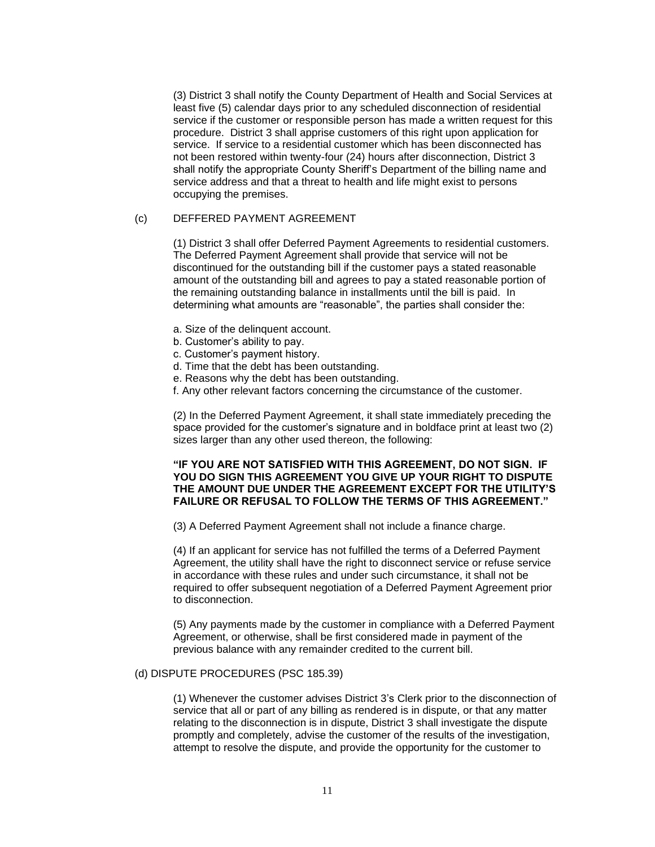(3) District 3 shall notify the County Department of Health and Social Services at least five (5) calendar days prior to any scheduled disconnection of residential service if the customer or responsible person has made a written request for this procedure. District 3 shall apprise customers of this right upon application for service. If service to a residential customer which has been disconnected has not been restored within twenty-four (24) hours after disconnection, District 3 shall notify the appropriate County Sheriff's Department of the billing name and service address and that a threat to health and life might exist to persons occupying the premises.

# (c) DEFFERED PAYMENT AGREEMENT

(1) District 3 shall offer Deferred Payment Agreements to residential customers. The Deferred Payment Agreement shall provide that service will not be discontinued for the outstanding bill if the customer pays a stated reasonable amount of the outstanding bill and agrees to pay a stated reasonable portion of the remaining outstanding balance in installments until the bill is paid. In determining what amounts are "reasonable", the parties shall consider the:

- a. Size of the delinquent account.
- b. Customer's ability to pay.
- c. Customer's payment history.
- d. Time that the debt has been outstanding.
- e. Reasons why the debt has been outstanding.
- f. Any other relevant factors concerning the circumstance of the customer.

(2) In the Deferred Payment Agreement, it shall state immediately preceding the space provided for the customer's signature and in boldface print at least two (2) sizes larger than any other used thereon, the following:

### **"IF YOU ARE NOT SATISFIED WITH THIS AGREEMENT, DO NOT SIGN. IF YOU DO SIGN THIS AGREEMENT YOU GIVE UP YOUR RIGHT TO DISPUTE THE AMOUNT DUE UNDER THE AGREEMENT EXCEPT FOR THE UTILITY'S FAILURE OR REFUSAL TO FOLLOW THE TERMS OF THIS AGREEMENT."**

(3) A Deferred Payment Agreement shall not include a finance charge.

(4) If an applicant for service has not fulfilled the terms of a Deferred Payment Agreement, the utility shall have the right to disconnect service or refuse service in accordance with these rules and under such circumstance, it shall not be required to offer subsequent negotiation of a Deferred Payment Agreement prior to disconnection.

(5) Any payments made by the customer in compliance with a Deferred Payment Agreement, or otherwise, shall be first considered made in payment of the previous balance with any remainder credited to the current bill.

### (d) DISPUTE PROCEDURES (PSC 185.39)

(1) Whenever the customer advises District 3's Clerk prior to the disconnection of service that all or part of any billing as rendered is in dispute, or that any matter relating to the disconnection is in dispute, District 3 shall investigate the dispute promptly and completely, advise the customer of the results of the investigation, attempt to resolve the dispute, and provide the opportunity for the customer to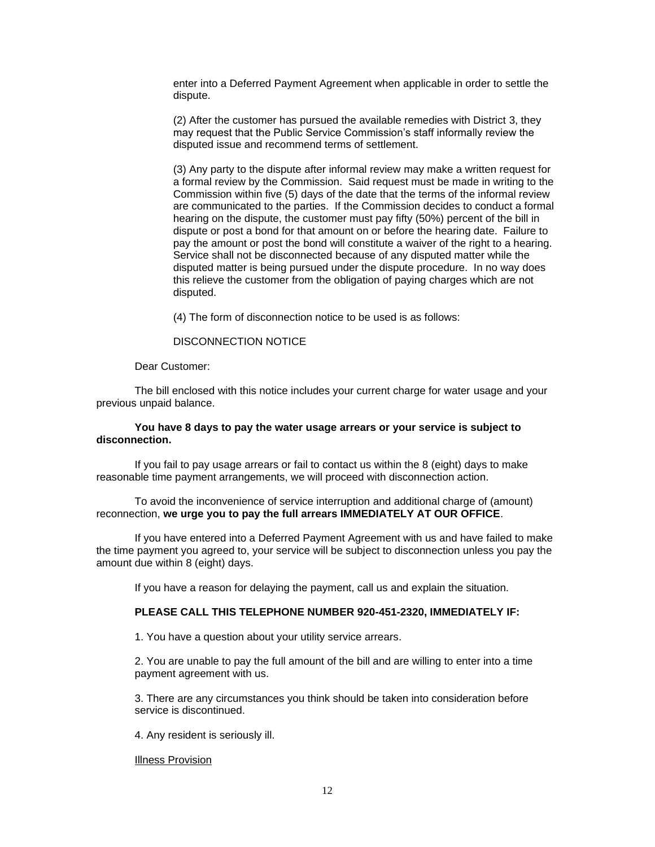enter into a Deferred Payment Agreement when applicable in order to settle the dispute.

(2) After the customer has pursued the available remedies with District 3, they may request that the Public Service Commission's staff informally review the disputed issue and recommend terms of settlement.

(3) Any party to the dispute after informal review may make a written request for a formal review by the Commission. Said request must be made in writing to the Commission within five (5) days of the date that the terms of the informal review are communicated to the parties. If the Commission decides to conduct a formal hearing on the dispute, the customer must pay fifty (50%) percent of the bill in dispute or post a bond for that amount on or before the hearing date. Failure to pay the amount or post the bond will constitute a waiver of the right to a hearing. Service shall not be disconnected because of any disputed matter while the disputed matter is being pursued under the dispute procedure. In no way does this relieve the customer from the obligation of paying charges which are not disputed.

(4) The form of disconnection notice to be used is as follows:

# DISCONNECTION NOTICE

Dear Customer:

The bill enclosed with this notice includes your current charge for water usage and your previous unpaid balance.

#### **You have 8 days to pay the water usage arrears or your service is subject to disconnection.**

If you fail to pay usage arrears or fail to contact us within the 8 (eight) days to make reasonable time payment arrangements, we will proceed with disconnection action.

To avoid the inconvenience of service interruption and additional charge of (amount) reconnection, **we urge you to pay the full arrears IMMEDIATELY AT OUR OFFICE**.

If you have entered into a Deferred Payment Agreement with us and have failed to make the time payment you agreed to, your service will be subject to disconnection unless you pay the amount due within 8 (eight) days.

If you have a reason for delaying the payment, call us and explain the situation.

#### **PLEASE CALL THIS TELEPHONE NUMBER 920-451-2320, IMMEDIATELY IF:**

1. You have a question about your utility service arrears.

2. You are unable to pay the full amount of the bill and are willing to enter into a time payment agreement with us.

3. There are any circumstances you think should be taken into consideration before service is discontinued.

4. Any resident is seriously ill.

Illness Provision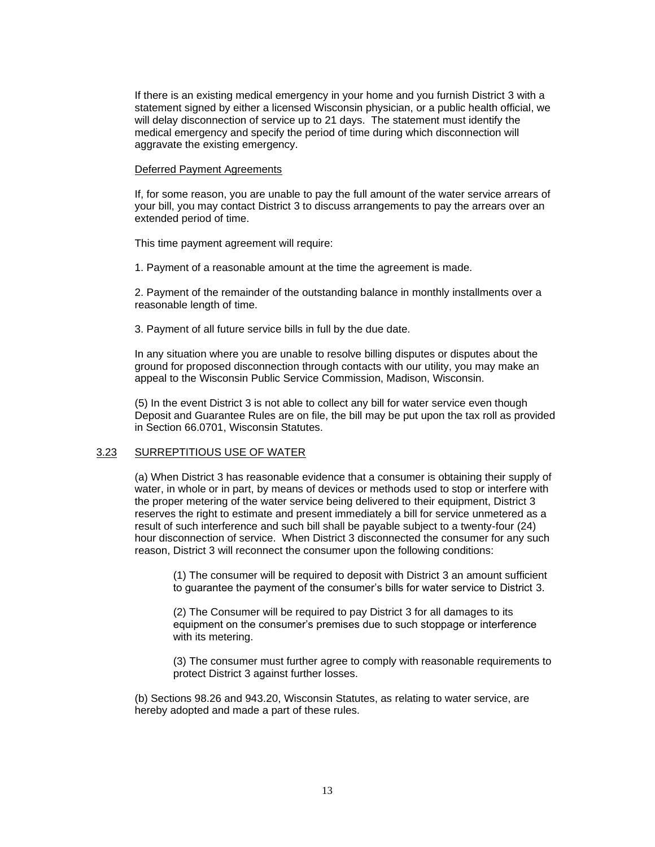If there is an existing medical emergency in your home and you furnish District 3 with a statement signed by either a licensed Wisconsin physician, or a public health official, we will delay disconnection of service up to 21 days. The statement must identify the medical emergency and specify the period of time during which disconnection will aggravate the existing emergency.

#### Deferred Payment Agreements

If, for some reason, you are unable to pay the full amount of the water service arrears of your bill, you may contact District 3 to discuss arrangements to pay the arrears over an extended period of time.

This time payment agreement will require:

1. Payment of a reasonable amount at the time the agreement is made.

2. Payment of the remainder of the outstanding balance in monthly installments over a reasonable length of time.

3. Payment of all future service bills in full by the due date.

In any situation where you are unable to resolve billing disputes or disputes about the ground for proposed disconnection through contacts with our utility, you may make an appeal to the Wisconsin Public Service Commission, Madison, Wisconsin.

(5) In the event District 3 is not able to collect any bill for water service even though Deposit and Guarantee Rules are on file, the bill may be put upon the tax roll as provided in Section 66.0701, Wisconsin Statutes.

# 3.23 SURREPTITIOUS USE OF WATER

(a) When District 3 has reasonable evidence that a consumer is obtaining their supply of water, in whole or in part, by means of devices or methods used to stop or interfere with the proper metering of the water service being delivered to their equipment, District 3 reserves the right to estimate and present immediately a bill for service unmetered as a result of such interference and such bill shall be payable subject to a twenty-four (24) hour disconnection of service. When District 3 disconnected the consumer for any such reason, District 3 will reconnect the consumer upon the following conditions:

(1) The consumer will be required to deposit with District 3 an amount sufficient to guarantee the payment of the consumer's bills for water service to District 3.

(2) The Consumer will be required to pay District 3 for all damages to its equipment on the consumer's premises due to such stoppage or interference with its metering.

(3) The consumer must further agree to comply with reasonable requirements to protect District 3 against further losses.

(b) Sections 98.26 and 943.20, Wisconsin Statutes, as relating to water service, are hereby adopted and made a part of these rules.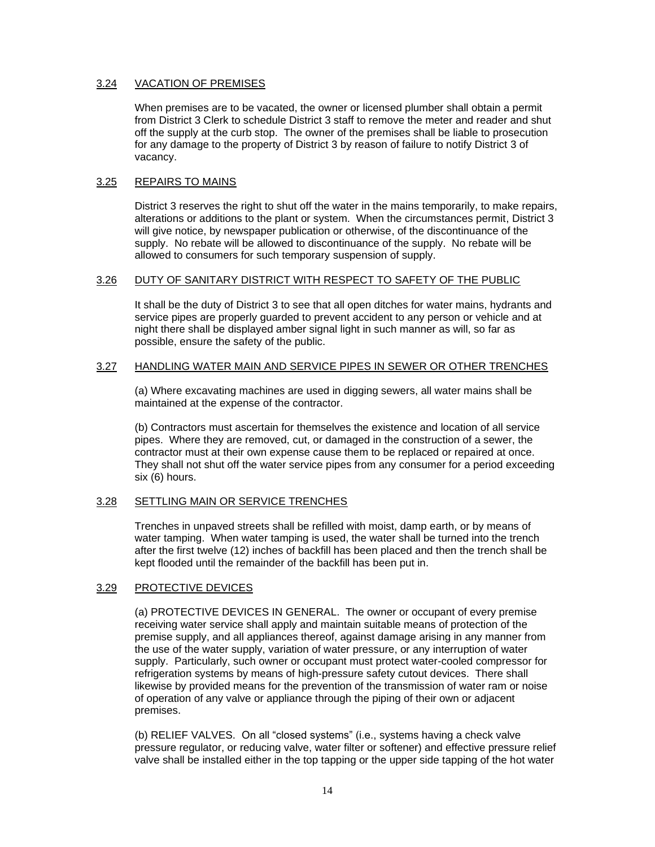# 3.24 VACATION OF PREMISES

When premises are to be vacated, the owner or licensed plumber shall obtain a permit from District 3 Clerk to schedule District 3 staff to remove the meter and reader and shut off the supply at the curb stop. The owner of the premises shall be liable to prosecution for any damage to the property of District 3 by reason of failure to notify District 3 of vacancy.

# 3.25 REPAIRS TO MAINS

District 3 reserves the right to shut off the water in the mains temporarily, to make repairs, alterations or additions to the plant or system. When the circumstances permit, District 3 will give notice, by newspaper publication or otherwise, of the discontinuance of the supply. No rebate will be allowed to discontinuance of the supply. No rebate will be allowed to consumers for such temporary suspension of supply.

# 3.26 DUTY OF SANITARY DISTRICT WITH RESPECT TO SAFETY OF THE PUBLIC

It shall be the duty of District 3 to see that all open ditches for water mains, hydrants and service pipes are properly guarded to prevent accident to any person or vehicle and at night there shall be displayed amber signal light in such manner as will, so far as possible, ensure the safety of the public.

# 3.27 HANDLING WATER MAIN AND SERVICE PIPES IN SEWER OR OTHER TRENCHES

(a) Where excavating machines are used in digging sewers, all water mains shall be maintained at the expense of the contractor.

(b) Contractors must ascertain for themselves the existence and location of all service pipes. Where they are removed, cut, or damaged in the construction of a sewer, the contractor must at their own expense cause them to be replaced or repaired at once. They shall not shut off the water service pipes from any consumer for a period exceeding six (6) hours.

# 3.28 SETTLING MAIN OR SERVICE TRENCHES

Trenches in unpaved streets shall be refilled with moist, damp earth, or by means of water tamping. When water tamping is used, the water shall be turned into the trench after the first twelve (12) inches of backfill has been placed and then the trench shall be kept flooded until the remainder of the backfill has been put in.

# 3.29 PROTECTIVE DEVICES

(a) PROTECTIVE DEVICES IN GENERAL. The owner or occupant of every premise receiving water service shall apply and maintain suitable means of protection of the premise supply, and all appliances thereof, against damage arising in any manner from the use of the water supply, variation of water pressure, or any interruption of water supply. Particularly, such owner or occupant must protect water-cooled compressor for refrigeration systems by means of high-pressure safety cutout devices. There shall likewise by provided means for the prevention of the transmission of water ram or noise of operation of any valve or appliance through the piping of their own or adjacent premises.

(b) RELIEF VALVES. On all "closed systems" (i.e., systems having a check valve pressure regulator, or reducing valve, water filter or softener) and effective pressure relief valve shall be installed either in the top tapping or the upper side tapping of the hot water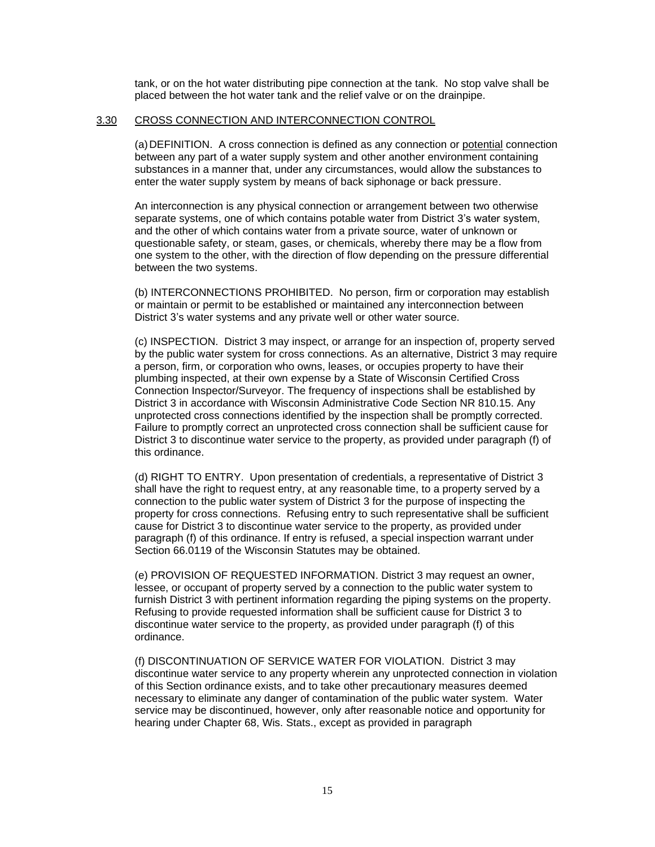tank, or on the hot water distributing pipe connection at the tank. No stop valve shall be placed between the hot water tank and the relief valve or on the drainpipe.

### 3.30 CROSS CONNECTION AND INTERCONNECTION CONTROL

(a)DEFINITION. A cross connection is defined as any connection or potential connection between any part of a water supply system and other another environment containing substances in a manner that, under any circumstances, would allow the substances to enter the water supply system by means of back siphonage or back pressure.

An interconnection is any physical connection or arrangement between two otherwise separate systems, one of which contains potable water from District 3's water system, and the other of which contains water from a private source, water of unknown or questionable safety, or steam, gases, or chemicals, whereby there may be a flow from one system to the other, with the direction of flow depending on the pressure differential between the two systems.

(b) INTERCONNECTIONS PROHIBITED. No person, firm or corporation may establish or maintain or permit to be established or maintained any interconnection between District 3's water systems and any private well or other water source.

(c) INSPECTION. District 3 may inspect, or arrange for an inspection of, property served by the public water system for cross connections. As an alternative, District 3 may require a person, firm, or corporation who owns, leases, or occupies property to have their plumbing inspected, at their own expense by a State of Wisconsin Certified Cross Connection Inspector/Surveyor. The frequency of inspections shall be established by District 3 in accordance with Wisconsin Administrative Code Section NR 810.15. Any unprotected cross connections identified by the inspection shall be promptly corrected. Failure to promptly correct an unprotected cross connection shall be sufficient cause for District 3 to discontinue water service to the property, as provided under paragraph (f) of this ordinance.

(d) RIGHT TO ENTRY. Upon presentation of credentials, a representative of District 3 shall have the right to request entry, at any reasonable time, to a property served by a connection to the public water system of District 3 for the purpose of inspecting the property for cross connections. Refusing entry to such representative shall be sufficient cause for District 3 to discontinue water service to the property, as provided under paragraph (f) of this ordinance. If entry is refused, a special inspection warrant under Section 66.0119 of the Wisconsin Statutes may be obtained.

(e) PROVISION OF REQUESTED INFORMATION. District 3 may request an owner, lessee, or occupant of property served by a connection to the public water system to furnish District 3 with pertinent information regarding the piping systems on the property. Refusing to provide requested information shall be sufficient cause for District 3 to discontinue water service to the property, as provided under paragraph (f) of this ordinance.

(f) DISCONTINUATION OF SERVICE WATER FOR VIOLATION. District 3 may discontinue water service to any property wherein any unprotected connection in violation of this Section ordinance exists, and to take other precautionary measures deemed necessary to eliminate any danger of contamination of the public water system. Water service may be discontinued, however, only after reasonable notice and opportunity for hearing under Chapter 68, Wis. Stats., except as provided in paragraph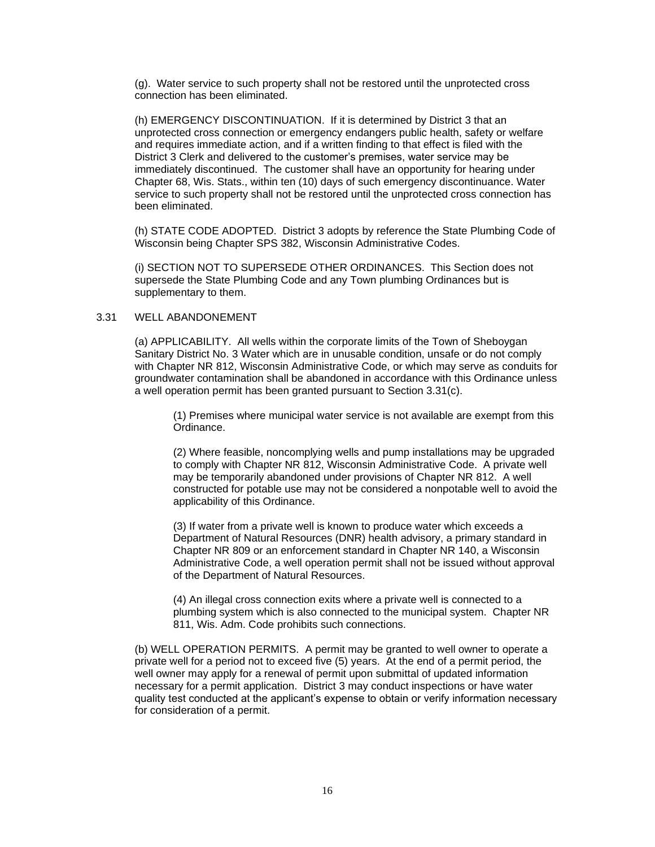(g). Water service to such property shall not be restored until the unprotected cross connection has been eliminated.

(h) EMERGENCY DISCONTINUATION. If it is determined by District 3 that an unprotected cross connection or emergency endangers public health, safety or welfare and requires immediate action, and if a written finding to that effect is filed with the District 3 Clerk and delivered to the customer's premises, water service may be immediately discontinued. The customer shall have an opportunity for hearing under Chapter 68, Wis. Stats., within ten (10) days of such emergency discontinuance. Water service to such property shall not be restored until the unprotected cross connection has been eliminated.

(h) STATE CODE ADOPTED. District 3 adopts by reference the State Plumbing Code of Wisconsin being Chapter SPS 382, Wisconsin Administrative Codes.

(i) SECTION NOT TO SUPERSEDE OTHER ORDINANCES. This Section does not supersede the State Plumbing Code and any Town plumbing Ordinances but is supplementary to them.

# 3.31 WELL ABANDONEMENT

(a) APPLICABILITY. All wells within the corporate limits of the Town of Sheboygan Sanitary District No. 3 Water which are in unusable condition, unsafe or do not comply with Chapter NR 812, Wisconsin Administrative Code, or which may serve as conduits for groundwater contamination shall be abandoned in accordance with this Ordinance unless a well operation permit has been granted pursuant to Section 3.31(c).

(1) Premises where municipal water service is not available are exempt from this Ordinance.

(2) Where feasible, noncomplying wells and pump installations may be upgraded to comply with Chapter NR 812, Wisconsin Administrative Code. A private well may be temporarily abandoned under provisions of Chapter NR 812. A well constructed for potable use may not be considered a nonpotable well to avoid the applicability of this Ordinance.

(3) If water from a private well is known to produce water which exceeds a Department of Natural Resources (DNR) health advisory, a primary standard in Chapter NR 809 or an enforcement standard in Chapter NR 140, a Wisconsin Administrative Code, a well operation permit shall not be issued without approval of the Department of Natural Resources.

(4) An illegal cross connection exits where a private well is connected to a plumbing system which is also connected to the municipal system. Chapter NR 811, Wis. Adm. Code prohibits such connections.

(b) WELL OPERATION PERMITS. A permit may be granted to well owner to operate a private well for a period not to exceed five (5) years. At the end of a permit period, the well owner may apply for a renewal of permit upon submittal of updated information necessary for a permit application. District 3 may conduct inspections or have water quality test conducted at the applicant's expense to obtain or verify information necessary for consideration of a permit.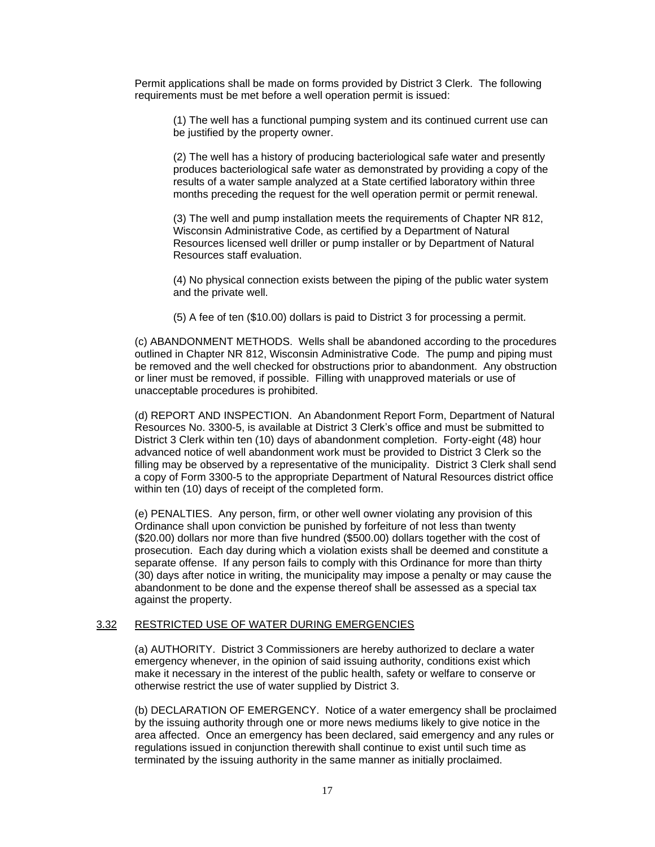Permit applications shall be made on forms provided by District 3 Clerk. The following requirements must be met before a well operation permit is issued:

(1) The well has a functional pumping system and its continued current use can be justified by the property owner.

(2) The well has a history of producing bacteriological safe water and presently produces bacteriological safe water as demonstrated by providing a copy of the results of a water sample analyzed at a State certified laboratory within three months preceding the request for the well operation permit or permit renewal.

(3) The well and pump installation meets the requirements of Chapter NR 812, Wisconsin Administrative Code, as certified by a Department of Natural Resources licensed well driller or pump installer or by Department of Natural Resources staff evaluation.

(4) No physical connection exists between the piping of the public water system and the private well.

(5) A fee of ten (\$10.00) dollars is paid to District 3 for processing a permit.

(c) ABANDONMENT METHODS. Wells shall be abandoned according to the procedures outlined in Chapter NR 812, Wisconsin Administrative Code. The pump and piping must be removed and the well checked for obstructions prior to abandonment. Any obstruction or liner must be removed, if possible. Filling with unapproved materials or use of unacceptable procedures is prohibited.

(d) REPORT AND INSPECTION. An Abandonment Report Form, Department of Natural Resources No. 3300-5, is available at District 3 Clerk's office and must be submitted to District 3 Clerk within ten (10) days of abandonment completion. Forty-eight (48) hour advanced notice of well abandonment work must be provided to District 3 Clerk so the filling may be observed by a representative of the municipality. District 3 Clerk shall send a copy of Form 3300-5 to the appropriate Department of Natural Resources district office within ten (10) days of receipt of the completed form.

(e) PENALTIES. Any person, firm, or other well owner violating any provision of this Ordinance shall upon conviction be punished by forfeiture of not less than twenty (\$20.00) dollars nor more than five hundred (\$500.00) dollars together with the cost of prosecution. Each day during which a violation exists shall be deemed and constitute a separate offense. If any person fails to comply with this Ordinance for more than thirty (30) days after notice in writing, the municipality may impose a penalty or may cause the abandonment to be done and the expense thereof shall be assessed as a special tax against the property.

# 3.32 RESTRICTED USE OF WATER DURING EMERGENCIES

(a) AUTHORITY. District 3 Commissioners are hereby authorized to declare a water emergency whenever, in the opinion of said issuing authority, conditions exist which make it necessary in the interest of the public health, safety or welfare to conserve or otherwise restrict the use of water supplied by District 3.

(b) DECLARATION OF EMERGENCY. Notice of a water emergency shall be proclaimed by the issuing authority through one or more news mediums likely to give notice in the area affected. Once an emergency has been declared, said emergency and any rules or regulations issued in conjunction therewith shall continue to exist until such time as terminated by the issuing authority in the same manner as initially proclaimed.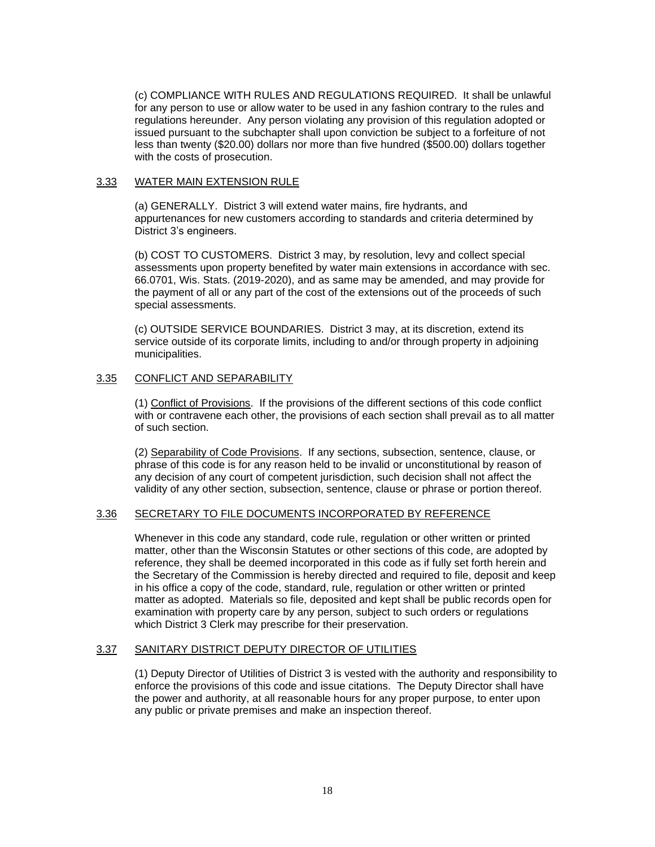(c) COMPLIANCE WITH RULES AND REGULATIONS REQUIRED. It shall be unlawful for any person to use or allow water to be used in any fashion contrary to the rules and regulations hereunder. Any person violating any provision of this regulation adopted or issued pursuant to the subchapter shall upon conviction be subject to a forfeiture of not less than twenty (\$20.00) dollars nor more than five hundred (\$500.00) dollars together with the costs of prosecution.

### 3.33 WATER MAIN EXTENSION RULE

(a) GENERALLY. District 3 will extend water mains, fire hydrants, and appurtenances for new customers according to standards and criteria determined by District 3's engineers.

(b) COST TO CUSTOMERS. District 3 may, by resolution, levy and collect special assessments upon property benefited by water main extensions in accordance with sec. 66.0701, Wis. Stats. (2019-2020), and as same may be amended, and may provide for the payment of all or any part of the cost of the extensions out of the proceeds of such special assessments.

(c) OUTSIDE SERVICE BOUNDARIES. District 3 may, at its discretion, extend its service outside of its corporate limits, including to and/or through property in adjoining municipalities.

# 3.35 CONFLICT AND SEPARABILITY

(1) Conflict of Provisions. If the provisions of the different sections of this code conflict with or contravene each other, the provisions of each section shall prevail as to all matter of such section.

(2) Separability of Code Provisions. If any sections, subsection, sentence, clause, or phrase of this code is for any reason held to be invalid or unconstitutional by reason of any decision of any court of competent jurisdiction, such decision shall not affect the validity of any other section, subsection, sentence, clause or phrase or portion thereof.

# 3.36 SECRETARY TO FILE DOCUMENTS INCORPORATED BY REFERENCE

Whenever in this code any standard, code rule, regulation or other written or printed matter, other than the Wisconsin Statutes or other sections of this code, are adopted by reference, they shall be deemed incorporated in this code as if fully set forth herein and the Secretary of the Commission is hereby directed and required to file, deposit and keep in his office a copy of the code, standard, rule, regulation or other written or printed matter as adopted. Materials so file, deposited and kept shall be public records open for examination with property care by any person, subject to such orders or regulations which District 3 Clerk may prescribe for their preservation.

# 3.37 SANITARY DISTRICT DEPUTY DIRECTOR OF UTILITIES

(1) Deputy Director of Utilities of District 3 is vested with the authority and responsibility to enforce the provisions of this code and issue citations. The Deputy Director shall have the power and authority, at all reasonable hours for any proper purpose, to enter upon any public or private premises and make an inspection thereof.